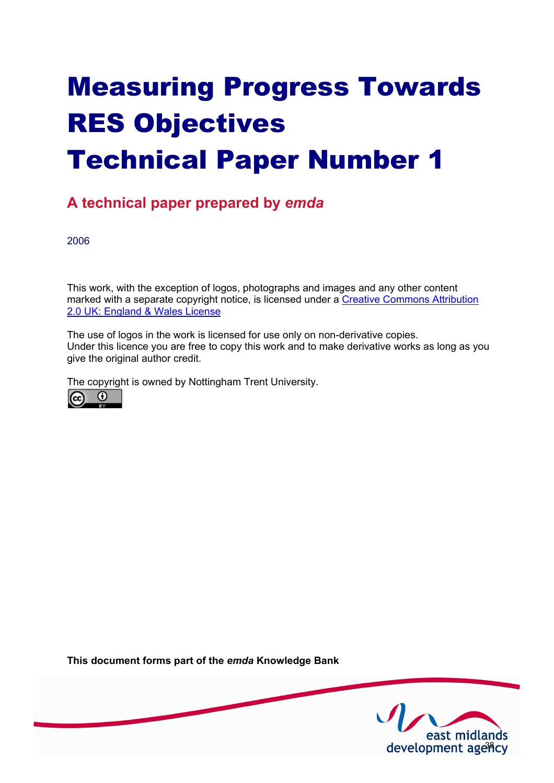# Measuring Progress Towards RES Objectives Technical Paper Number 1

# **A technical paper prepared by** *emda*

2006

This work, with the exception of logos, photographs and images and any other content [marked with a separate copyright notice, is licensed under a Creative Commons Attribution](http://creativecommons.org/licenses/by/2.0/uk) 2.0 UK: England & Wales License

The use of logos in the work is licensed for use only on non-derivative copies. Under this licence you are free to copy this work and to make derivative works as long as you give the original author credit.

The copyright is owned by Nottingham Trent University.



**This document forms part of the** *emda* **Knowledge Bank** 

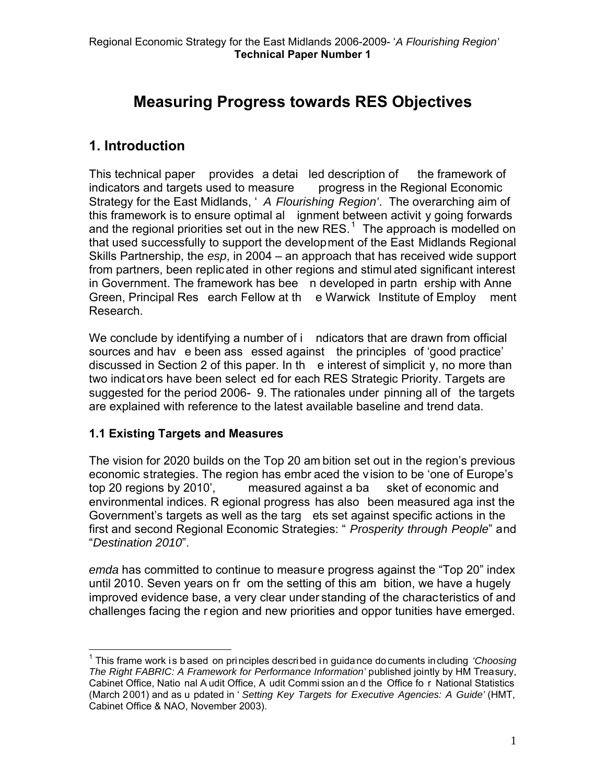# **Measuring Progress towards RES Objectives**

# **1. Introduction**

This technical paper provides a detai led description of the framework of indicators and targets used to measure progress in the Regional Economic Strategy for the East Midlands, ' *A Flourishing Region'*. The overarching aim of this framework is to ensure optimal al ignment between activit y going forwards and the regional priorities set out in the new RES.<sup>[1](#page-1-0)</sup> The approach is modelled on that used successfully to support the development of the East Midlands Regional Skills Partnership, the *esp*, in 2004 – an approach that has received wide support from partners, been replicated in other regions and stimul ated significant interest in Government. The framework has bee n developed in partn ership with Anne Green, Principal Res earch Fellow at th e Warwick Institute of Employ ment Research.

We conclude by identifying a number of i ndicators that are drawn from official sources and hav e been ass essed against the principles of 'good practice' discussed in Section 2 of this paper. In the e interest of simplicit  $y$ , no more than two indicat ors have been select ed for each RES Strategic Priority. Targets are suggested for the period 2006- 9. The rationales under pinning all of the targets are explained with reference to the latest available baseline and trend data.

# **1.1 Existing Targets and Measures**

The vision for 2020 builds on the Top 20 am bition set out in the region's previous economic strategies. The region has embr aced the vision to be 'one of Europe's top 20 regions by 2010', measured against a ba sket of economic and environmental indices. R egional progress has also been measured aga inst the Government's targets as well as the targ ets set against specific actions in the first and second Regional Economic Strategies: " *Prosperity through People*" and "*Destination 2010*".

*emda* has committed to continue to measure progress against the "Top 20" index until 2010. Seven years on fr om the setting of this am bition, we have a hugely improved evidence base, a very clear under standing of the characteristics of and challenges facing the r egion and new priorities and oppor tunities have emerged.

<span id="page-1-0"></span> $\overline{a}$ 1 This frame work is based on principles described in guidance documents including *'Choosing The Right FABRIC: A Framework for Performance Information'* published jointly by HM Treasury, Cabinet Office, Natio nal A udit Office, A udit Commi ssion an d the Office fo r National Statistics (March 2001) and as u pdated in ' *Setting Key Targets for Executive Agencies: A Guide'* (HMT, Cabinet Office & NAO, November 2003).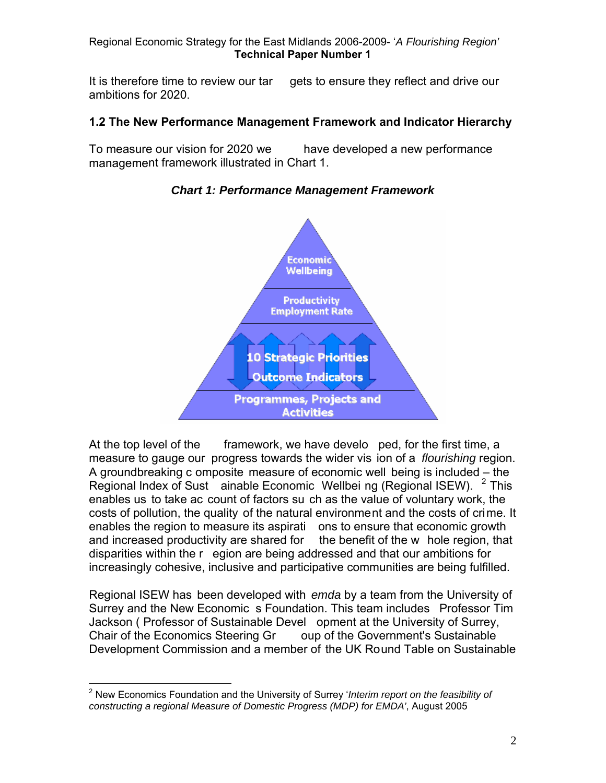It is therefore time to review our tar gets to ensure they reflect and drive our ambitions for 2020.

#### **1.2 The New Performance Management Framework and Indicator Hierarchy**

To measure our vision for 2020 we have developed a new performance management framework illustrated in Chart 1.



*Chart 1: Performance Management Framework* 

At the top level of the framework, we have develo ped, for the first time, a measure to gauge our progress towards the wider vis ion of a *flourishing* region. A groundbreaking c omposite measure of economic well being is included – the Regional Index of Sust  $\alpha$  ainable Economic Wellbei ng (Regional ISEW).  $\alpha$  This enables us to take ac count of factors su ch as the value of voluntary work, the costs of pollution, the quality of the natural environment and the costs of crime. It enables the region to measure its aspirati ons to ensure that economic growth and increased productivity are shared for the benefit of the w hole region, that disparities within the r egion are being addressed and that our ambitions for increasingly cohesive, inclusive and participative communities are being fulfilled.

Regional ISEW has been developed with *emda* by a team from the University of Surrey and the New Economic s Foundation. This team includes Professor Tim Jackson ( Professor of Sustainable Devel opment at the University of Surrey, Chair of the Economics Steering Gr oup of the Government's Sustainable Development Commission and a member of the UK Round Table on Sustainable

<span id="page-2-0"></span> 2 New Economics Foundation and the University of Surrey '*Interim report on the feasibility of constructing a regional Measure of Domestic Progress (MDP) for EMDA'*, August 2005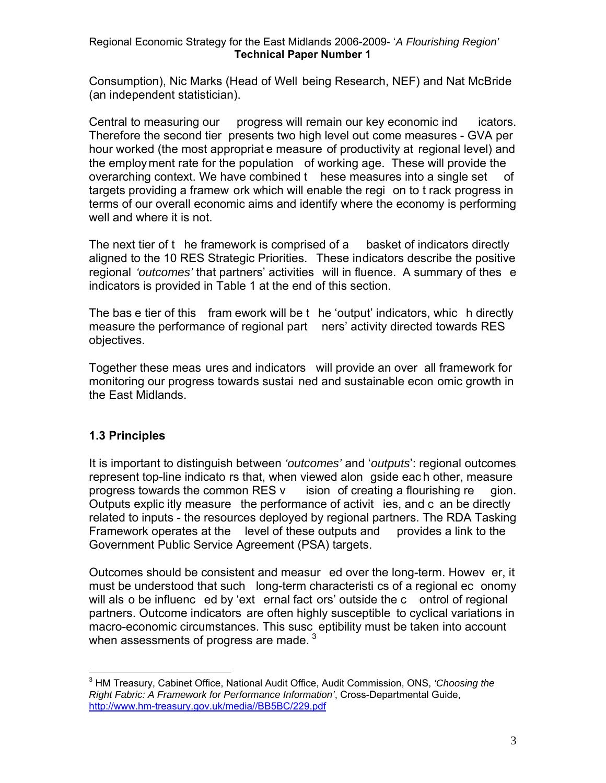Consumption), Nic Marks (Head of Well being Research, NEF) and Nat McBride (an independent statistician).

Central to measuring our progress will remain our key economic ind icators. Therefore the second tier presents two high level out come measures - GVA per hour worked (the most appropriat e measure of productivity at regional level) and the employment rate for the population of working age. These will provide the overarching context. We have combined t hese measures into a single set of targets providing a framew ork which will enable the regi on to t rack progress in terms of our overall economic aims and identify where the economy is performing well and where it is not.

The next tier of t he framework is comprised of a basket of indicators directly aligned to the 10 RES Strategic Priorities. These indicators describe the positive regional *'outcomes'* that partners' activities will in fluence. A summary of thes e indicators is provided in Table 1 at the end of this section.

The bas e tier of this fram ework will be t he 'output' indicators, whic h directly measure the performance of regional part ners' activity directed towards RES objectives.

Together these meas ures and indicators will provide an over all framework for monitoring our progress towards sustai ned and sustainable econ omic growth in the East Midlands.

# **1.3 Principles**

 $\overline{a}$ 

It is important to distinguish between *'outcomes'* and '*outputs*': regional outcomes represent top-line indicato rs that, when viewed alon gside eac h other, measure progress towards the common RES v ision of creating a flourishing re gion. Outputs explic itly measure the performance of activit ies, and c an be directly related to inputs - the resources deployed by regional partners. The RDA Tasking Framework operates at the level of these outputs and provides a link to the Government Public Service Agreement (PSA) targets.

Outcomes should be consistent and measur ed over the long-term. Howev er, it must be understood that such long-term characteristi cs of a regional ec onomy will als o be influenc ed by 'ext ernal fact ors' outside the c ontrol of regional partners. Outcome indicators are often highly susceptible to cyclical variations in macro-economic circumstances. This susc eptibility must be taken into account when assessments of progress are made.  $3$ 

<span id="page-3-0"></span><sup>3</sup> HM Treasury, Cabinet Office, National Audit Office, Audit Commission, ONS, *'Choosing the Right Fabric: A Framework for Performance Information'*, Cross-Departmental Guide, <http://www.hm-treasury.gov.uk/media//BB5BC/229.pdf>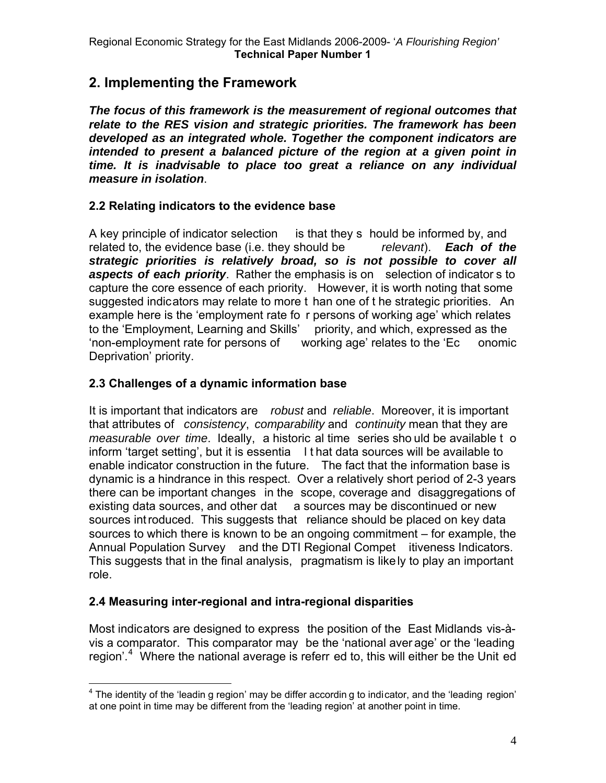# **2. Implementing the Framework**

*The focus of this framework is the measurement of regional outcomes that relate to the RES vision and strategic priorities. The framework has been developed as an integrated whole. Together the component indicators are intended to present a balanced picture of the region at a given point in time. It is inadvisable to place too great a reliance on any individual measure in isolation*.

# **2.2 Relating indicators to the evidence base**

A key principle of indicator selection is that they s hould be informed by, and related to, the evidence base (i.e. they should be *relevant*). *Each of the strategic priorities is relatively broad, so is not possible to cover all aspects of each priority*. Rather the emphasis is on selection of indicator s to capture the core essence of each priority. However, it is worth noting that some suggested indicators may relate to more t han one of t he strategic priorities. An example here is the 'employment rate fo r persons of working age' which relates to the 'Employment, Learning and Skills' priority, and which, expressed as the 'non-employment rate for persons of working age' relates to the 'Ec onomic Deprivation' priority.

# **2.3 Challenges of a dynamic information base**

It is important that indicators are *robust* and *reliable*. Moreover, it is important that attributes of *consistency*, *comparability* and *continuity* mean that they are *measurable over time*. Ideally, a historic al time series sho uld be available t o inform 'target setting', but it is essentia I t hat data sources will be available to enable indicator construction in the future. The fact that the information base is dynamic is a hindrance in this respect. Over a relatively short period of 2-3 years there can be important changes in the scope, coverage and disaggregations of existing data sources, and other dat a sources may be discontinued or new sources introduced. This suggests that reliance should be placed on key data sources to which there is known to be an ongoing commitment – for example, the Annual Population Survey and the DTI Regional Compet itiveness Indicators. This suggests that in the final analysis, pragmatism is likely to play an important role.

# **2.4 Measuring inter-regional and intra-regional disparities**

Most indicators are designed to express the position of the East Midlands vis-àvis a comparator. This comparator may be the 'national aver age' or the 'leading region'.<sup>[4](#page-4-0)</sup> Where the national average is referr ed to, this will either be the Unit ed

<span id="page-4-0"></span> 4 The identity of the 'leadin g region' may be differ accordin g to indicator, and the 'leading region' at one point in time may be different from the 'leading region' at another point in time.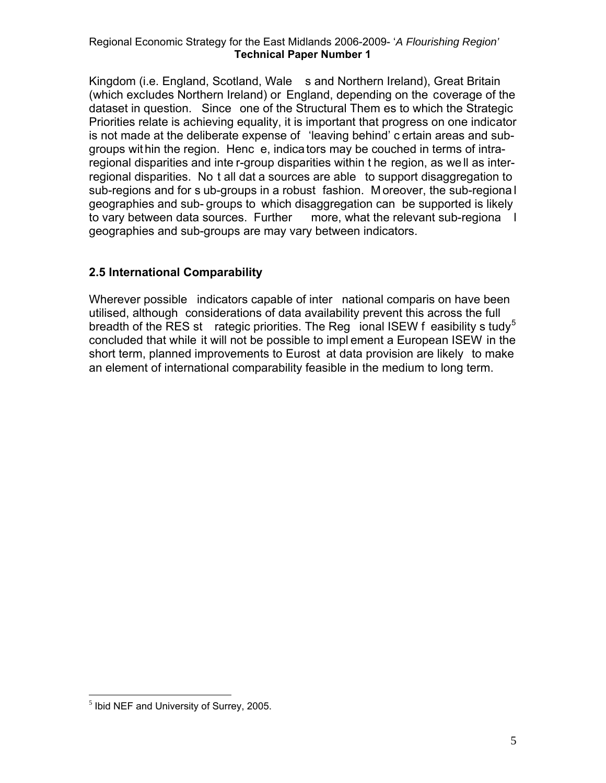Kingdom (i.e. England, Scotland, Wale s and Northern Ireland), Great Britain (which excludes Northern Ireland) or England, depending on the coverage of the dataset in question. Since one of the Structural Them es to which the Strategic Priorities relate is achieving equality, it is important that progress on one indicator is not made at the deliberate expense of 'leaving behind' c ertain areas and subgroups wit hin the region. Henc e, indicators may be couched in terms of intraregional disparities and inte r-group disparities within t he region, as we ll as interregional disparities. No t all dat a sources are able to support disaggregation to sub-regions and for s ub-groups in a robust fashion. M oreover, the sub-regiona l geographies and sub- groups to which disaggregation can be supported is likely to vary between data sources. Further more, what the relevant sub-regiona l geographies and sub-groups are may vary between indicators.

# **2.5 International Comparability**

Wherever possible indicators capable of inter national comparis on have been utilised, although considerations of data availability prevent this across the full breadth of the RES st rategic priorities. The Reg ional ISEW f easibility s tudy<sup>[5](#page-5-0)</sup> concluded that while it will not be possible to impl ement a European ISEW in the short term, planned improvements to Eurost at data provision are likely to make an element of international comparability feasible in the medium to long term.

 $\overline{a}$ 

<span id="page-5-0"></span> $<sup>5</sup>$  Ibid NEF and University of Surrey, 2005.</sup>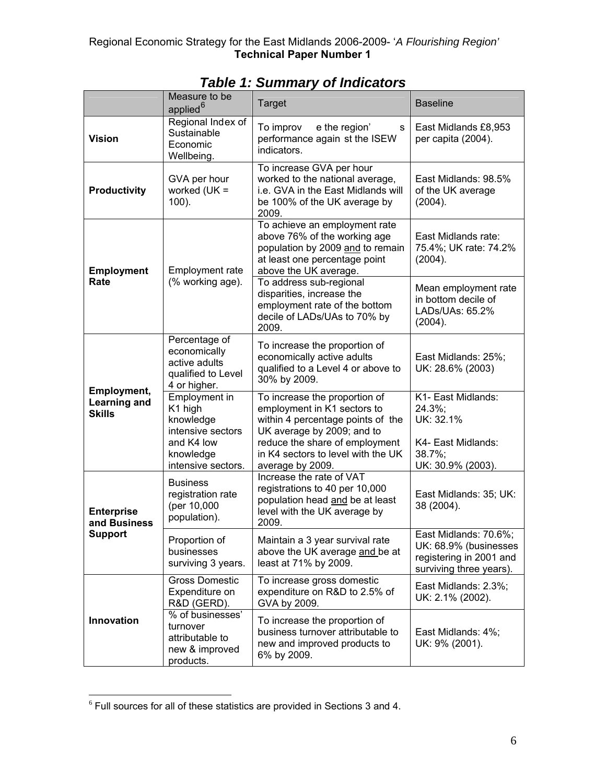|                                                     | Measure to be<br>applied <sup>6</sup>                                                                       | <b>Target</b>                                                                                                                                                                                                               | <b>Baseline</b>                                                                                      |
|-----------------------------------------------------|-------------------------------------------------------------------------------------------------------------|-----------------------------------------------------------------------------------------------------------------------------------------------------------------------------------------------------------------------------|------------------------------------------------------------------------------------------------------|
| <b>Vision</b>                                       | Regional Index of<br>Sustainable<br>Economic<br>Wellbeing.                                                  | To improv<br>e the region'<br>s<br>performance again st the ISEW<br>indicators.                                                                                                                                             | East Midlands £8,953<br>per capita (2004).                                                           |
| <b>Productivity</b>                                 | GVA per hour<br>worked $(UK =$<br>$100$ ).                                                                  | To increase GVA per hour<br>worked to the national average,<br>i.e. GVA in the East Midlands will<br>be 100% of the UK average by<br>2009.                                                                                  | East Midlands: 98.5%<br>of the UK average<br>(2004).                                                 |
| <b>Employment</b><br>Rate                           | <b>Employment rate</b><br>(% working age).                                                                  | To achieve an employment rate<br>above 76% of the working age<br>population by 2009 and to remain<br>at least one percentage point<br>above the UK average.                                                                 | East Midlands rate:<br>75.4%; UK rate: 74.2%<br>(2004).                                              |
|                                                     |                                                                                                             | To address sub-regional<br>disparities, increase the<br>employment rate of the bottom<br>decile of LADs/UAs to 70% by<br>2009.                                                                                              | Mean employment rate<br>in bottom decile of<br>LADs/UAs: 65.2%<br>(2004).                            |
| Employment,<br><b>Learning and</b><br><b>Skills</b> | Percentage of<br>economically<br>active adults<br>qualified to Level<br>4 or higher.                        | To increase the proportion of<br>economically active adults<br>qualified to a Level 4 or above to<br>30% by 2009.                                                                                                           | East Midlands: 25%;<br>UK: 28.6% (2003)                                                              |
|                                                     | Employment in<br>K1 high<br>knowledge<br>intensive sectors<br>and K4 low<br>knowledge<br>intensive sectors. | To increase the proportion of<br>employment in K1 sectors to<br>within 4 percentage points of the<br>UK average by 2009; and to<br>reduce the share of employment<br>in K4 sectors to level with the UK<br>average by 2009. | K1- East Midlands:<br>24.3%;<br>UK: 32.1%<br>K4- East Midlands:<br>$38.7\%$ ;<br>UK: 30.9% (2003).   |
| <b>Enterprise</b><br>and Business<br><b>Support</b> | <b>Business</b><br>registration rate<br>(per 10,000<br>population).                                         | Increase the rate of VAT<br>registrations to 40 per 10,000<br>population head and be at least<br>level with the UK average by<br>2009.                                                                                      | East Midlands: 35; UK:<br>38 (2004).                                                                 |
|                                                     | Proportion of<br>businesses<br>surviving 3 years.                                                           | Maintain a 3 year survival rate<br>above the UK average and be at<br>least at 71% by 2009.                                                                                                                                  | East Midlands: 70.6%;<br>UK: 68.9% (businesses<br>registering in 2001 and<br>surviving three years). |
| Innovation                                          | Gross Domestic<br>Expenditure on<br>R&D (GERD).                                                             | To increase gross domestic<br>expenditure on R&D to 2.5% of<br>GVA by 2009.                                                                                                                                                 | East Midlands: 2.3%;<br>UK: 2.1% (2002).                                                             |
|                                                     | % of businesses'<br>turnover<br>attributable to<br>new & improved<br>products.                              | To increase the proportion of<br>business turnover attributable to<br>new and improved products to<br>6% by 2009.                                                                                                           | East Midlands: 4%;<br>UK: 9% (2001).                                                                 |

*Table 1: Summary of Indicators* 

 $\overline{a}$ 

<span id="page-6-0"></span> $6$  Full sources for all of these statistics are provided in Sections 3 and 4.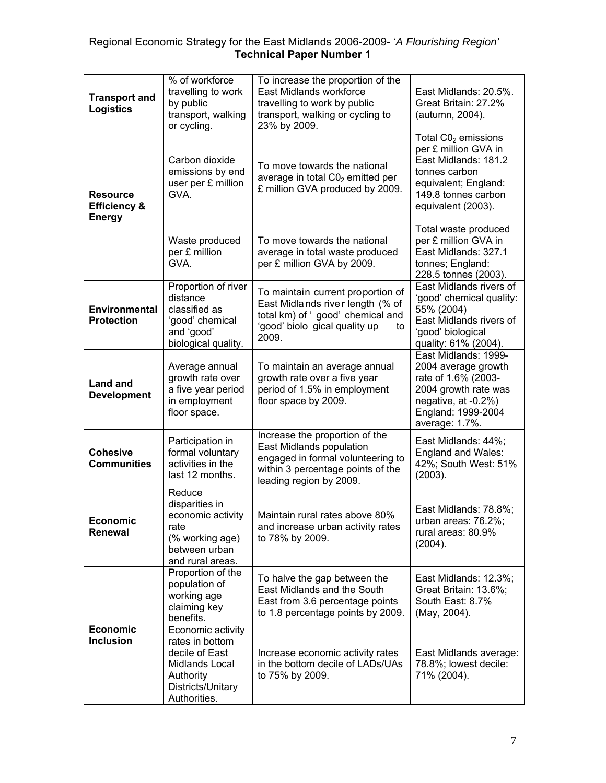| <b>Transport and</b><br><b>Logistics</b>                    | % of workforce<br>travelling to work<br>by public<br>transport, walking<br>or cycling.                                     | To increase the proportion of the<br>East Midlands workforce<br>travelling to work by public<br>transport, walking or cycling to<br>23% by 2009.                | East Midlands: 20.5%.<br>Great Britain: 27.2%<br>(autumn, 2004).                                                                                            |
|-------------------------------------------------------------|----------------------------------------------------------------------------------------------------------------------------|-----------------------------------------------------------------------------------------------------------------------------------------------------------------|-------------------------------------------------------------------------------------------------------------------------------------------------------------|
| <b>Resource</b><br><b>Efficiency &amp;</b><br><b>Energy</b> | Carbon dioxide<br>emissions by end<br>user per £ million<br>GVA.                                                           | To move towards the national<br>average in total $CO2$ emitted per<br>£ million GVA produced by 2009.                                                           | Total $CO2$ emissions<br>per £ million GVA in<br>East Midlands: 181.2<br>tonnes carbon<br>equivalent; England:<br>149.8 tonnes carbon<br>equivalent (2003). |
|                                                             | Waste produced<br>per £ million<br>GVA.                                                                                    | To move towards the national<br>average in total waste produced<br>per £ million GVA by 2009.                                                                   | Total waste produced<br>per £ million GVA in<br>East Midlands: 327.1<br>tonnes; England:<br>228.5 tonnes (2003).                                            |
| <b>Environmental</b><br><b>Protection</b>                   | Proportion of river<br>distance<br>classified as<br>'good' chemical<br>and 'good'<br>biological quality.                   | To maintain current proportion of<br>East Midlands river length (% of<br>total km) of 'good' chemical and<br>'good' biolo gical quality up<br>to<br>2009.       | East Midlands rivers of<br>'good' chemical quality:<br>55% (2004)<br>East Midlands rivers of<br>'good' biological<br>quality: 61% (2004).                   |
| <b>Land and</b><br><b>Development</b>                       | Average annual<br>growth rate over<br>a five year period<br>in employment<br>floor space.                                  | To maintain an average annual<br>growth rate over a five year<br>period of 1.5% in employment<br>floor space by 2009.                                           | East Midlands: 1999-<br>2004 average growth<br>rate of 1.6% (2003-<br>2004 growth rate was<br>negative, at -0.2%)<br>England: 1999-2004<br>average: 1.7%.   |
| <b>Cohesive</b><br><b>Communities</b>                       | Participation in<br>formal voluntary<br>activities in the<br>last 12 months.                                               | Increase the proportion of the<br>East Midlands population<br>engaged in formal volunteering to<br>within 3 percentage points of the<br>leading region by 2009. | East Midlands: 44%;<br>England and Wales:<br>42%; South West: 51%<br>(2003).                                                                                |
| <b>Economic</b><br>Renewal                                  | Reduce<br>disparities in<br>economic activity<br>rate<br>(% working age)<br>between urban<br>and rural areas.              | Maintain rural rates above 80%<br>and increase urban activity rates<br>to 78% by 2009.                                                                          | East Midlands: 78.8%;<br>urban areas: 76.2%;<br>rural areas: 80.9%<br>(2004).                                                                               |
| <b>Economic</b><br><b>Inclusion</b>                         | Proportion of the<br>population of<br>working age<br>claiming key<br>benefits.                                             | To halve the gap between the<br>East Midlands and the South<br>East from 3.6 percentage points<br>to 1.8 percentage points by 2009.                             | East Midlands: 12.3%;<br>Great Britain: 13.6%;<br>South East: 8.7%<br>(May, 2004).                                                                          |
|                                                             | Economic activity<br>rates in bottom<br>decile of East<br>Midlands Local<br>Authority<br>Districts/Unitary<br>Authorities. | Increase economic activity rates<br>in the bottom decile of LADs/UAs<br>to 75% by 2009.                                                                         | East Midlands average:<br>78.8%; lowest decile:<br>71% (2004).                                                                                              |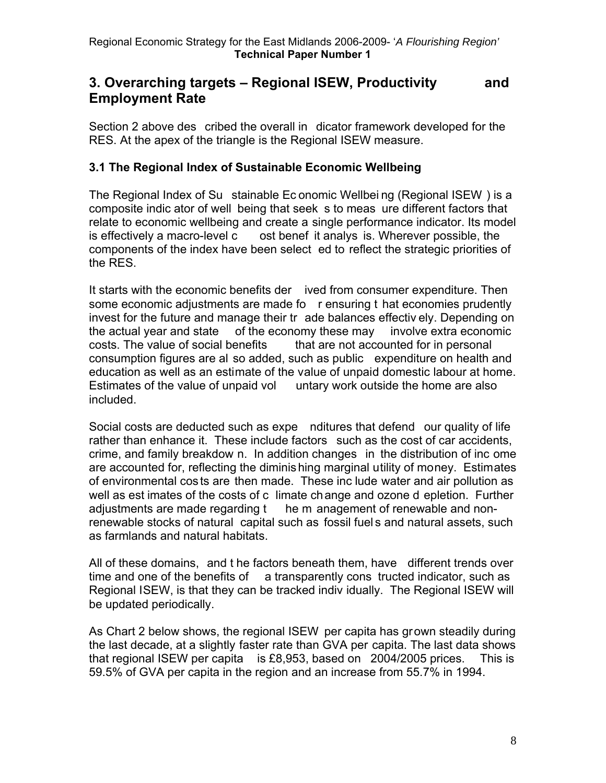# **3. Overarching targets – Regional ISEW, Productivity and Employment Rate**

Section 2 above des cribed the overall in dicator framework developed for the RES. At the apex of the triangle is the Regional ISEW measure.

# **3.1 The Regional Index of Sustainable Economic Wellbeing**

The Regional Index of Su stainable Ec onomic Wellbei ng (Regional ISEW ) is a composite indic ator of well being that seek s to meas ure different factors that relate to economic wellbeing and create a single performance indicator. Its model is effectively a macro-level c ost benef it analys is. Wherever possible, the components of the index have been select ed to reflect the strategic priorities of the RES.

It starts with the economic benefits der ived from consumer expenditure. Then some economic adjustments are made fo r ensuring t hat economies prudently invest for the future and manage their tr ade balances effectiv ely. Depending on the actual year and state of the economy these may involve extra economic costs. The value of social benefits that are not accounted for in personal consumption figures are al so added, such as public expenditure on health and education as well as an estimate of the value of unpaid domestic labour at home. Estimates of the value of unpaid vol untary work outside the home are also included.

Social costs are deducted such as expe nditures that defend our quality of life rather than enhance it. These include factors such as the cost of car accidents, crime, and family breakdow n. In addition changes in the distribution of inc ome are accounted for, reflecting the diminis hing marginal utility of money. Estimates of environmental costs are then made. These inc lude water and air pollution as well as est imates of the costs of c limate change and ozone d epletion. Further adjustments are made regarding t he m anagement of renewable and nonrenewable stocks of natural capital such as fossil fuel s and natural assets, such as farmlands and natural habitats.

All of these domains, and t he factors beneath them, have different trends over time and one of the benefits of  $a$  transparently cons tructed indicator, such as Regional ISEW, is that they can be tracked indiv idually. The Regional ISEW will be updated periodically.

As Chart 2 below shows, the regional ISEW per capita has grown steadily during the last decade, at a slightly faster rate than GVA per capita. The last data shows that regional ISEW per capita is £8,953, based on 2004/2005 prices. This is 59.5% of GVA per capita in the region and an increase from 55.7% in 1994.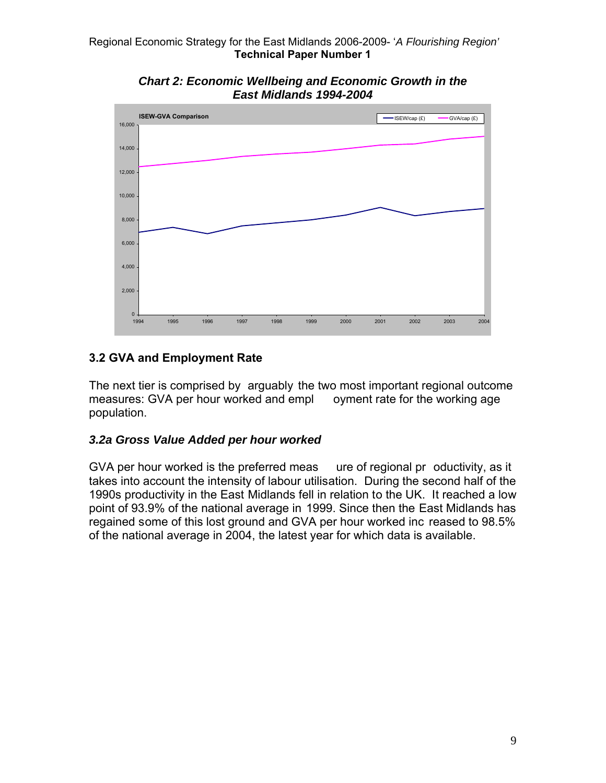

*Chart 2: Economic Wellbeing and Economic Growth in the East Midlands 1994-2004* 

# **3.2 GVA and Employment Rate**

The next tier is comprised by arguably the two most important regional outcome measures: GVA per hour worked and empl oyment rate for the working age population.

# *3.2a Gross Value Added per hour worked*

GVA per hour worked is the preferred meas ure of regional pr oductivity, as it takes into account the intensity of labour utilisation.During the second half of the 1990s productivity in the East Midlands fell in relation to the UK. It reached a low point of 93.9% of the national average in 1999. Since then the East Midlands has regained some of this lost ground and GVA per hour worked inc reased to 98.5% of the national average in 2004, the latest year for which data is available.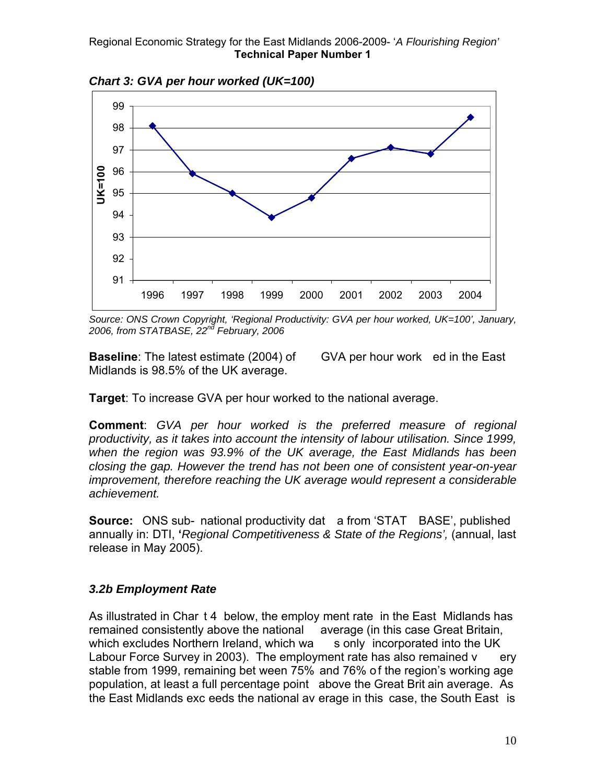

*Chart 3: GVA per hour worked (UK=100)* 

*Source: ONS Crown Copyright, 'Regional Productivity: GVA per hour worked, UK=100', January, 2006, from STATBASE, 22nd February, 2006* 

**Baseline**: The latest estimate (2004) of GVA per hour work ed in the East Midlands is 98.5% of the UK average.

**Target**: To increase GVA per hour worked to the national average.

**Comment**: *GVA per hour worked is the preferred measure of regional productivity, as it takes into account the intensity of labour utilisation. Since 1999, when the region was 93.9% of the UK average, the East Midlands has been closing the gap. However the trend has not been one of consistent year-on-year improvement, therefore reaching the UK average would represent a considerable achievement.* 

**Source:** ONS sub- national productivity dat a from 'STAT BASE', published annually in: DTI, **'***Regional Competitiveness & State of the Regions',* (annual, last release in May 2005).

# *3.2b Employment Rate*

As illustrated in Char t 4 below, the employ ment rate in the East Midlands has remained consistently above the national average (in this case Great Britain, which excludes Northern Ireland, which wa s only incorporated into the UK Labour Force Survey in 2003). The employment rate has also remained  $v = e<sub>ry</sub>$ stable from 1999, remaining bet ween 75% and 76% o f the region's working age population, at least a full percentage point above the Great Brit ain average. As the East Midlands exc eeds the national av erage in this case, the South East is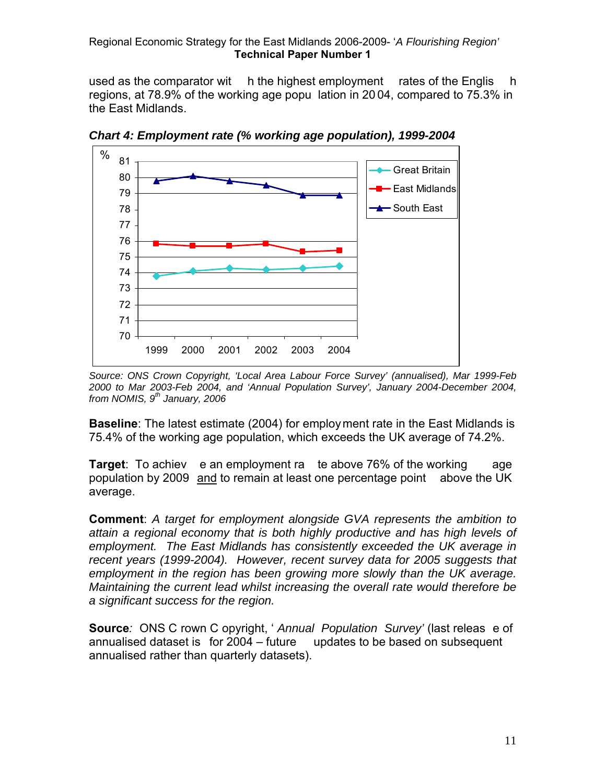used as the comparator wit h the highest employment rates of the Englis h regions, at 78.9% of the working age popu lation in 20 04, compared to 75.3% in the East Midlands.



*Chart 4: Employment rate (% working age population), 1999-2004* 

*Source: ONS Crown Copyright, 'Local Area Labour Force Survey' (annualised), Mar 1999-Feb 2000 to Mar 2003-Feb 2004, and 'Annual Population Survey', January 2004-December 2004, from NOMIS, 9th January, 2006* 

**Baseline**: The latest estimate (2004) for employment rate in the East Midlands is 75.4% of the working age population, which exceeds the UK average of 74.2%.

**Target**: To achiev e an employment ra te above 76% of the working age population by 2009 and to remain at least one percentage point above the UK average.

**Comment**: *A target for employment alongside GVA represents the ambition to attain a regional economy that is both highly productive and has high levels of employment. The East Midlands has consistently exceeded the UK average in recent years (1999-2004). However, recent survey data for 2005 suggests that employment in the region has been growing more slowly than the UK average. Maintaining the current lead whilst increasing the overall rate would therefore be a significant success for the region.* 

**Source***:* ONS C rown C opyright, ' *Annual Population Survey'* (last releas e of annualised dataset is for 2004 – future updates to be based on subsequent annualised rather than quarterly datasets).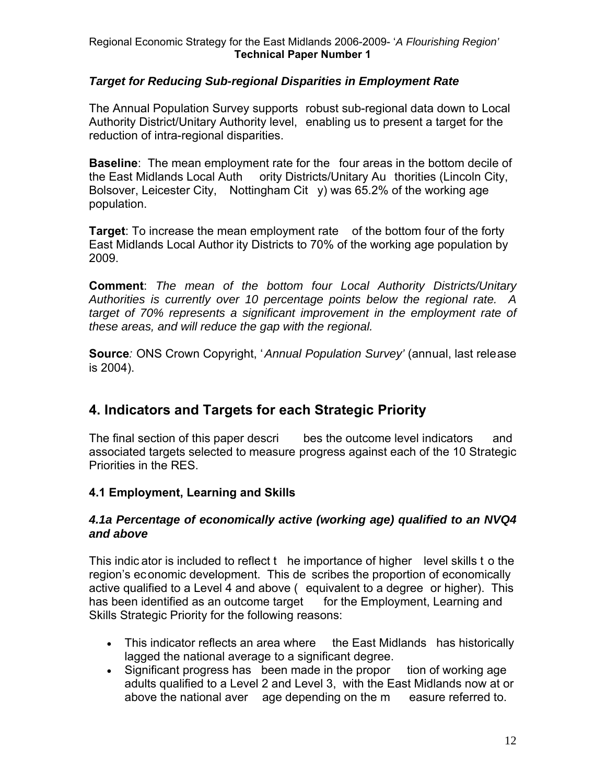# *Target for Reducing Sub-regional Disparities in Employment Rate*

The Annual Population Survey supports robust sub-regional data down to Local Authority District/Unitary Authority level, enabling us to present a target for the reduction of intra-regional disparities.

**Baseline**: The mean employment rate for the four areas in the bottom decile of the East Midlands Local Auth ority Districts/Unitary Au thorities (Lincoln City, Bolsover, Leicester City, Nottingham Cit y) was 65.2% of the working age population.

**Target**: To increase the mean employment rate of the bottom four of the forty East Midlands Local Author ity Districts to 70% of the working age population by 2009.

**Comment**: *The mean of the bottom four Local Authority Districts/Unitary Authorities is currently over 10 percentage points below the regional rate. A target of 70% represents a significant improvement in the employment rate of these areas, and will reduce the gap with the regional.* 

**Source***:* ONS Crown Copyright, '*Annual Population Survey'* (annual, last release is 2004).

# **4. Indicators and Targets for each Strategic Priority**

The final section of this paper descri bes the outcome level indicators and associated targets selected to measure progress against each of the 10 Strategic Priorities in the RES.

# **4.1 Employment, Learning and Skills**

#### *4.1a Percentage of economically active (working age) qualified to an NVQ4 and above*

This indic ator is included to reflect t he importance of higher level skills t o the region's economic development. This de scribes the proportion of economically active qualified to a Level 4 and above ( equivalent to a degree or higher). This has been identified as an outcome target for the Employment, Learning and Skills Strategic Priority for the following reasons:

- This indicator reflects an area where the East Midlands has historically lagged the national average to a significant degree.
- Significant progress has been made in the propor tion of working age adults qualified to a Level 2 and Level 3, with the East Midlands now at or above the national aver age depending on the m easure referred to.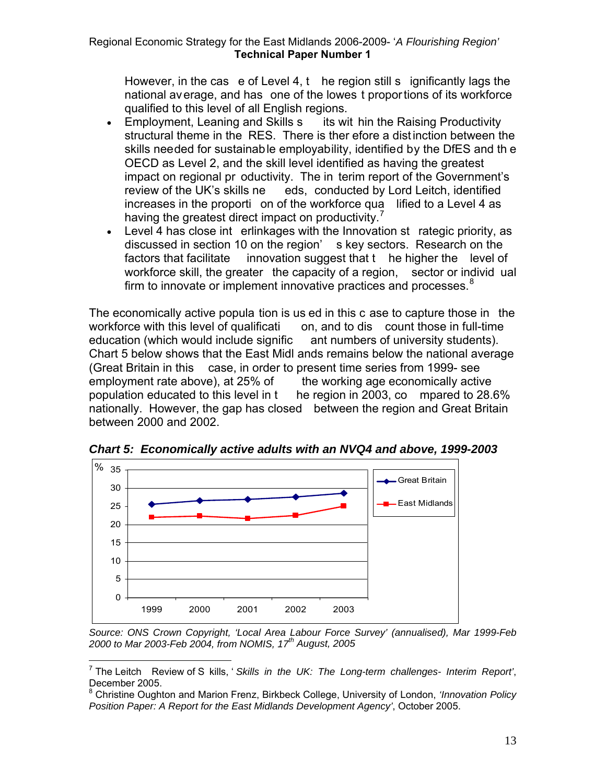However, in the cas e of Level 4,  $t$  he region still s ignificantly lags the national average, and has one of the lowes t proportions of its workforce qualified to this level of all English regions.

- Employment, Leaning and Skills s its wit hin the Raising Productivity structural theme in the RES. There is ther efore a distinction between the skills needed for sustainable employability, identified by the DfES and th e OECD as Level 2, and the skill level identified as having the greatest impact on regional pr oductivity. The in terim report of the Government's review of the UK's skills ne eds, conducted by Lord Leitch, identified increases in the proporti on of the workforce qua lified to a Level 4 as having the greatest direct impact on productivity.<sup>[7](#page-13-0)</sup>
- Level 4 has close int erlinkages with the Innovation st rategic priority, as discussed in section 10 on the region' s key sectors. Research on the factors that facilitate innovation suggest that t he higher the level of workforce skill, the greater the capacity of a region, sector or individ ual firm to innovate or implement innovative practices and processes.<sup>[8](#page-13-1)</sup>

The economically active popula tion is us ed in this c ase to capture those in the workforce with this level of qualificati on, and to dis count those in full-time education (which would include signific ant numbers of university students). Chart 5 below shows that the East Midl ands remains below the national average (Great Britain in this case, in order to present time series from 1999- see employment rate above), at 25% of the working age economically active population educated to this level in t he region in 2003, co mpared to 28.6% nationally. However, the gap has closed between the region and Great Britain between 2000 and 2002.



 $\overline{a}$ 

*Chart 5: Economically active adults with an NVQ4 and above, 1999-2003* 

*Source: ONS Crown Copyright, 'Local Area Labour Force Survey' (annualised), Mar 1999-Feb 2000 to Mar 2003-Feb 2004, from NOMIS, 17th August, 2005* 

<span id="page-13-0"></span><sup>7</sup> The Leitch Review of S kills, ' *Skills in the UK: The Long-term challenges- Interim Report'*, December 2005.

<span id="page-13-1"></span><sup>8</sup> Christine Oughton and Marion Frenz, Birkbeck College, University of London, *'Innovation Policy Position Paper: A Report for the East Midlands Development Agency'*, October 2005.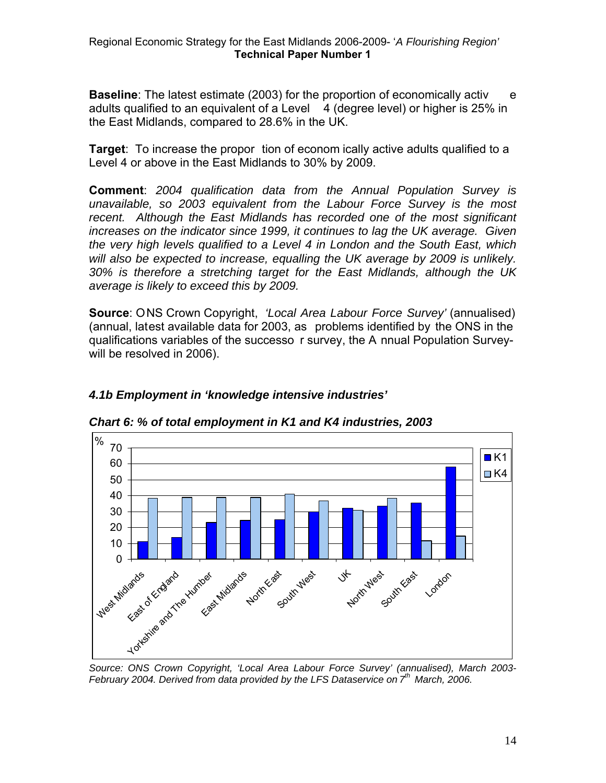**Baseline**: The latest estimate (2003) for the proportion of economically activ e adults qualified to an equivalent of a Level  $4$  (degree level) or higher is 25% in the East Midlands, compared to 28.6% in the UK.

**Target**: To increase the propor tion of econom ically active adults qualified to a Level 4 or above in the East Midlands to 30% by 2009.

**Comment**: *2004 qualification data from the Annual Population Survey is unavailable, so 2003 equivalent from the Labour Force Survey is the most recent. Although the East Midlands has recorded one of the most significant increases on the indicator since 1999, it continues to lag the UK average. Given the very high levels qualified to a Level 4 in London and the South East, which will also be expected to increase, equalling the UK average by 2009 is unlikely. 30% is therefore a stretching target for the East Midlands, although the UK average is likely to exceed this by 2009.* 

**Source**: ONS Crown Copyright, *'Local Area Labour Force Survey'* (annualised) (annual, latest available data for 2003, as problems identified by the ONS in the qualifications variables of the successo r survey, the A nnual Population Surveywill be resolved in 2006).



*Chart 6: % of total employment in K1 and K4 industries, 2003* 

*4.1b Employment in 'knowledge intensive industries'* 

*Source: ONS Crown Copyright, 'Local Area Labour Force Survey' (annualised), March 2003- February 2004. Derived from data provided by the LFS Dataservice on 7th March, 2006.*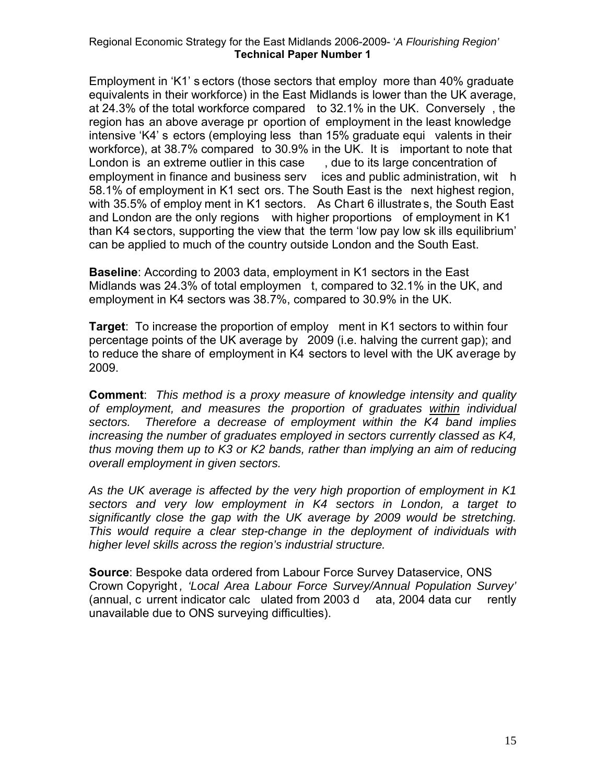Employment in 'K1' s ectors (those sectors that employ more than 40% graduate equivalents in their workforce) in the East Midlands is lower than the UK average, at 24.3% of the total workforce compared to 32.1% in the UK. Conversely , the region has an above average pr oportion of employment in the least knowledge intensive 'K4' s ectors (employing less than 15% graduate equi valents in their workforce), at 38.7% compared to 30.9% in the UK. It is important to note that London is an extreme outlier in this case, due to its large concentration of employment in finance and business serv ices and public administration, wit h 58.1% of employment in K1 sect ors. The South East is the next highest region, with 35.5% of employ ment in K1 sectors. As Chart 6 illustrate s, the South East and London are the only regions with higher proportions of employment in K1 than K4 sectors, supporting the view that the term 'low pay low sk ills equilibrium' can be applied to much of the country outside London and the South East.

**Baseline**: According to 2003 data, employment in K1 sectors in the East Midlands was 24.3% of total employmen t, compared to 32.1% in the UK, and employment in K4 sectors was 38.7%, compared to 30.9% in the UK.

**Target**: To increase the proportion of employ ment in K1 sectors to within four percentage points of the UK average by 2009 (i.e. halving the current gap); and to reduce the share of employment in K4 sectors to level with the UK average by 2009.

**Comment**: *This method is a proxy measure of knowledge intensity and quality of employment, and measures the proportion of graduates within individual sectors. Therefore a decrease of employment within the K4 band implies increasing the number of graduates employed in sectors currently classed as K4, thus moving them up to K3 or K2 bands, rather than implying an aim of reducing overall employment in given sectors.* 

*As the UK average is affected by the very high proportion of employment in K1 sectors and very low employment in K4 sectors in London, a target to significantly close the gap with the UK average by 2009 would be stretching. This would require a clear step-change in the deployment of individuals with higher level skills across the region's industrial structure.* 

**Source**: Bespoke data ordered from Labour Force Survey Dataservice, ONS Crown Copyright *, 'Local Area Labour Force Survey/Annual Population Survey'*  (annual, c urrent indicator calc ulated from 2003 d ata, 2004 data cur rently unavailable due to ONS surveying difficulties).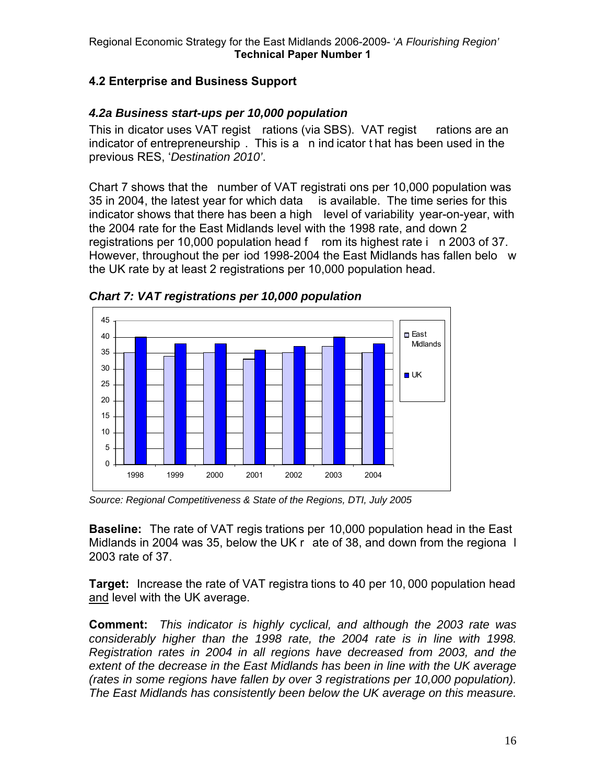# **4.2 Enterprise and Business Support**

# *4.2a Business start-ups per 10,000 population*

This in dicator uses VAT regist rations (via SBS). VAT regist rations are an indicator of entrepreneurship . This is a n ind icator t hat has been used in the previous RES, '*Destination 2010'*.

Chart 7 shows that the number of VAT registrati ons per 10,000 population was 35 in 2004, the latest year for which data is available. The time series for this indicator shows that there has been a high level of variability year-on-year, with the 2004 rate for the East Midlands level with the 1998 rate, and down 2 registrations per 10,000 population head f rom its highest rate i n 2003 of 37. However, throughout the per iod 1998-2004 the East Midlands has fallen belo w the UK rate by at least 2 registrations per 10,000 population head.



*Chart 7: VAT registrations per 10,000 population* 

*Source: Regional Competitiveness & State of the Regions, DTI, July 2005* 

**Baseline:** The rate of VAT regis trations per 10,000 population head in the East Midlands in 2004 was 35, below the UK r ate of 38, and down from the regiona l 2003 rate of 37.

**Target:** Increase the rate of VAT registra tions to 40 per 10, 000 population head and level with the UK average.

**Comment:** *This indicator is highly cyclical, and although the 2003 rate was considerably higher than the 1998 rate, the 2004 rate is in line with 1998. Registration rates in 2004 in all regions have decreased from 2003, and the extent of the decrease in the East Midlands has been in line with the UK average (rates in some regions have fallen by over 3 registrations per 10,000 population). The East Midlands has consistently been below the UK average on this measure.*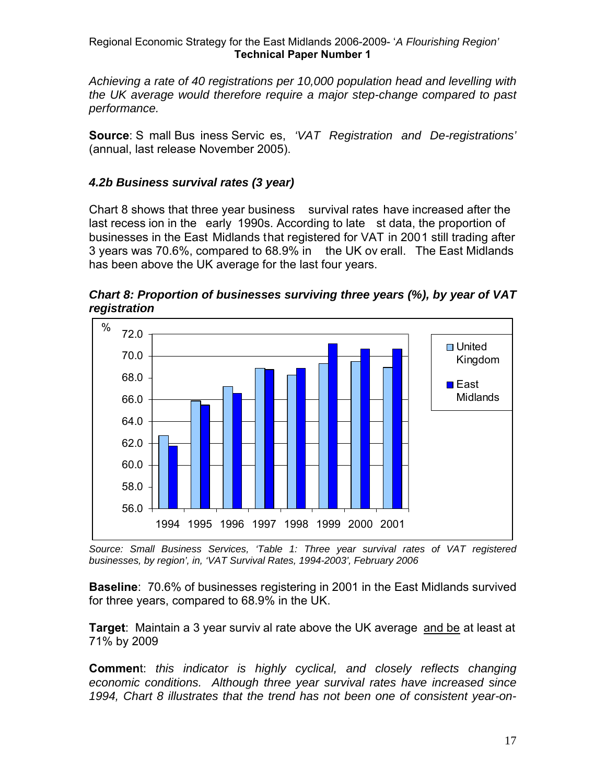*Achieving a rate of 40 registrations per 10,000 population head and levelling with the UK average would therefore require a major step-change compared to past performance.* 

**Source**: S mall Bus iness Servic es, *'VAT Registration and De-registrations'*  (annual, last release November 2005).

#### *4.2b Business survival rates (3 year)*

Chart 8 shows that three year business survival rates have increased after the last recess ion in the early 1990s. According to late st data, the proportion of businesses in the East Midlands that registered for VAT in 2001 still trading after 3 years was 70.6%, compared to 68.9% in the UK ov erall. The East Midlands has been above the UK average for the last four years.





*Source: Small Business Services, 'Table 1: Three year survival rates of VAT registered businesses, by region', in, 'VAT Survival Rates, 1994-2003', February 2006* 

**Baseline**: 70.6% of businesses registering in 2001 in the East Midlands survived for three years, compared to 68.9% in the UK.

**Target**: Maintain a 3 year surviv al rate above the UK average and be at least at 71% by 2009

**Commen**t: *this indicator is highly cyclical, and closely reflects changing economic conditions. Although three year survival rates have increased since 1994, Chart 8 illustrates that the trend has not been one of consistent year-on-*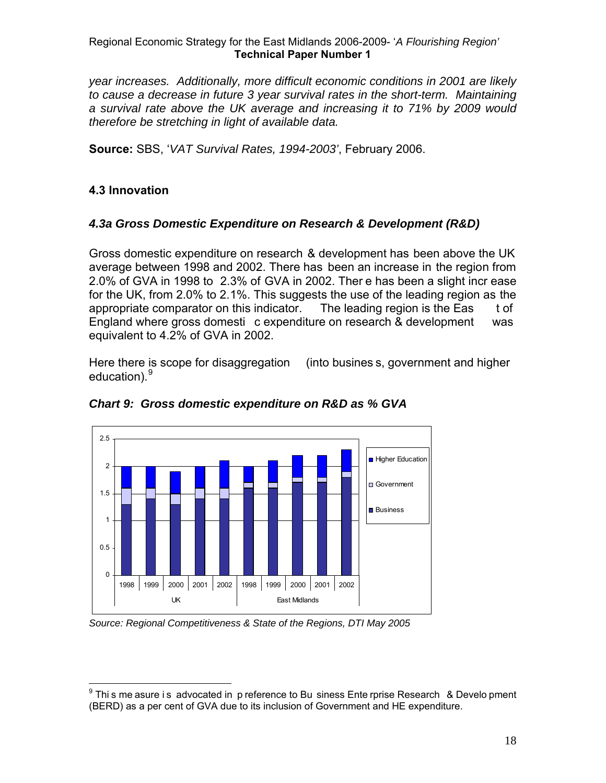*year increases. Additionally, more difficult economic conditions in 2001 are likely to cause a decrease in future 3 year survival rates in the short-term. Maintaining a survival rate above the UK average and increasing it to 71% by 2009 would therefore be stretching in light of available data.* 

**Source:** SBS, '*VAT Survival Rates, 1994-2003'*, February 2006.

# **4.3 Innovation**

# *4.3a Gross Domestic Expenditure on Research & Development (R&D)*

Gross domestic expenditure on research & development has been above the UK average between 1998 and 2002. There has been an increase in the region from 2.0% of GVA in 1998 to 2.3% of GVA in 2002. Ther e has been a slight incr ease for the UK, from 2.0% to 2.1%. This suggests the use of the leading region as the appropriate comparator on this indicator. The leading region is the Eas t of England where gross domesti c expenditure on research & development was equivalent to 4.2% of GVA in 2002.

Here there is scope for disaggregation (into busines s, government and higher education).<sup>[9](#page-18-0)</sup>



# *Chart 9: Gross domestic expenditure on R&D as % GVA*

*Source: Regional Competitiveness & State of the Regions, DTI May 2005* 

<span id="page-18-0"></span> 9 Thi s me asure i s advocated in p reference to Bu siness Ente rprise Research & Develo pment (BERD) as a per cent of GVA due to its inclusion of Government and HE expenditure.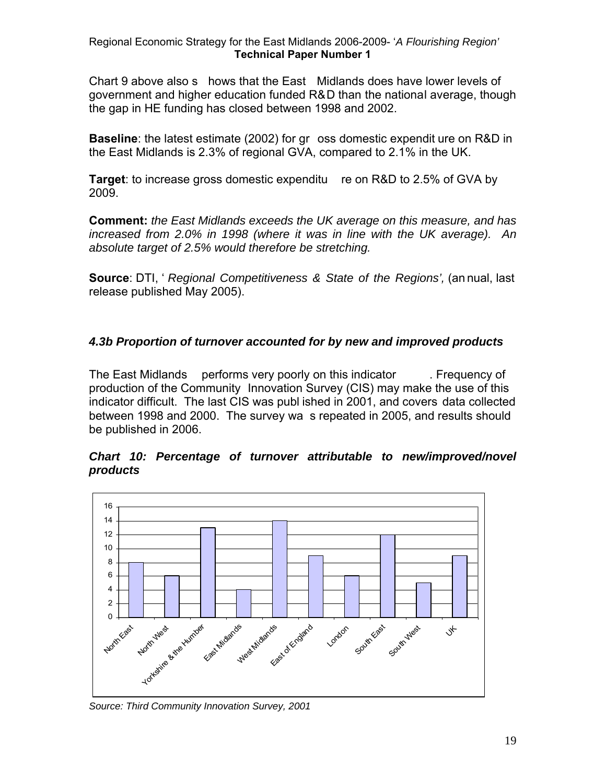Chart 9 above also s hows that the East Midlands does have lower levels of government and higher education funded R&D than the national average, though the gap in HE funding has closed between 1998 and 2002.

**Baseline**: the latest estimate (2002) for gr oss domestic expendit ure on R&D in the East Midlands is 2.3% of regional GVA, compared to 2.1% in the UK.

**Target**: to increase gross domestic expenditu re on R&D to 2.5% of GVA by 2009.

**Comment:** *the East Midlands exceeds the UK average on this measure, and has increased from 2.0% in 1998 (where it was in line with the UK average). An absolute target of 2.5% would therefore be stretching.* 

**Source**: DTI, ' *Regional Competitiveness & State of the Regions',* (an nual, last release published May 2005).

# *4.3b Proportion of turnover accounted for by new and improved products*

The East Midlands performs very poorly on this indicator . Frequency of production of the Community Innovation Survey (CIS) may make the use of this indicator difficult. The last CIS was publ ished in 2001, and covers data collected between 1998 and 2000. The survey wa s repeated in 2005, and results should be published in 2006.

#### *Chart 10: Percentage of turnover attributable to new/improved/novel products*



*Source: Third Community Innovation Survey, 2001*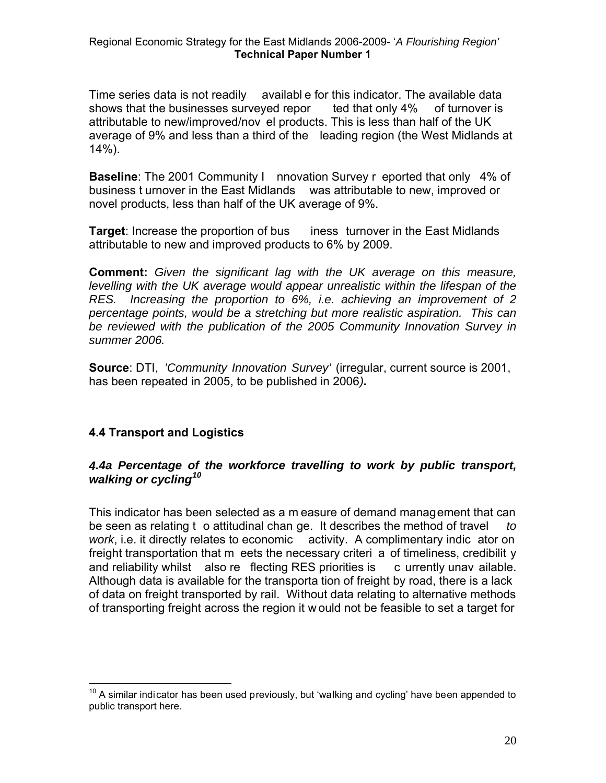availabl e for this indicator. The available data Time series data is not readily shows that the businesses surveyed repor ted that only 4% of turnover is attributable to new/improved/nov el products. This is less than half of the UK average of 9% and less than a third of the leading region (the West Midlands at  $14\%$ ).

**aseline**: The 2001 Community I nnovation Survey r eported that only 4% of **B** business t urnover in the East Midlands was attributable to new, improved or novel products, less than half of the UK average of 9%.

**Target**: Increase the proportion of bus iness turnover in the East Midlands attributable to new and improved products to 6% by 2009.

**Comment:** Given the significant lag with the UK average on this measure, *levelling with the UK average would appear unrealistic within the lifespan of the RES. Increasing the proportion to 6%, i.e. achieving an improvement of 2 percentage points, would be a stretching but more realistic aspiration. This can be reviewed with the publication of the 2005 Community Innovation Survey in summer 2006.* 

Source: DTI, 'Community Innovation Survey' (irregular, current source is 2001, has been repeated in 2005, to be published in 2006*).* 

# **.4 Transport and Logistics 4**

1

#### *.4a Percentage of the workforce travelling to work by public transport, 4 walking or cycling[10](#page-20-0)*

his indicator has been selected as a m easure of demand management that can T be seen as relating t o attitudinal chan ge. It describes the method of travel *to work*, i.e. it directly relates to economic activity. A complimentary indic ator on freight transportation that m eets the necessary criteri a of timeliness, credibilit y and reliability whilst also re flecting RES priorities is c urrently unav ailable. Although data is available for the transporta tion of freight by road, there is a lack of data on freight transported by rail. Without data relating to alternative methods of transporting freight across the region it w ould not be feasible to set a target for

<span id="page-20-0"></span> $10$  A similar indicator has been used previously, but 'walking and cycling' have been appended to public transport here.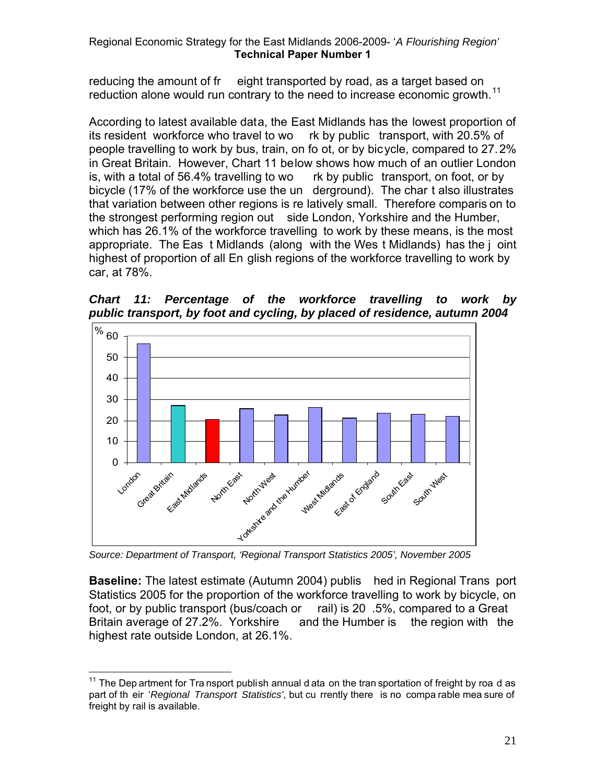reducing the amount of fr eight transported by road, as a target based on reduction alone would run contrary to the need to increase economic growth.<sup>[11](#page-21-0)</sup>

According to latest available data, the East Midlands has the lowest proportion of its resident workforce who travel to wo rk by public transport, with 20.5% of people travelling to work by bus, train, on fo ot, or by bicycle, compared to 27.2% in Great Britain. However, Chart 11 below shows how much of an outlier London is, with a total of 56.4% travelling to wo rk by public transport, on foot, or by bicycle (17% of the workforce use the un derground). The char t also illustrates that variation between other regions is re latively small. Therefore comparis on to the strongest performing region out side London, Yorkshire and the Humber, which has 26.1% of the workforce travelling to work by these means, is the most appropriate. The Eas t Midlands (along with the Wes t Midlands) has the j oint highest of proportion of all En glish regions of the workforce travelling to work by car, at 78%.

*Chart 11: Percentage of the workforce travelling to work by public transport, by foot and cycling, by placed of residence, autumn 2004* 



*Source: Department of Transport, 'Regional Transport Statistics 2005', November 2005* 

**Baseline:** The latest estimate (Autumn 2004) publis hed in Regional Trans port Statistics 2005 for the proportion of the workforce travelling to work by bicycle, on foot, or by public transport (bus/coach or rail) is 20 .5%, compared to a Great Britain average of 27.2%. Yorkshire and the Humber is the region with the highest rate outside London, at 26.1%.

<span id="page-21-0"></span> $\overline{a}$  $11$  The Dep artment for Tra nsport publish annual d ata on the tran sportation of freight by roa d as part of th eir '*Regional Transport Statistics'*, but cu rrently there is no compa rable mea sure of freight by rail is available.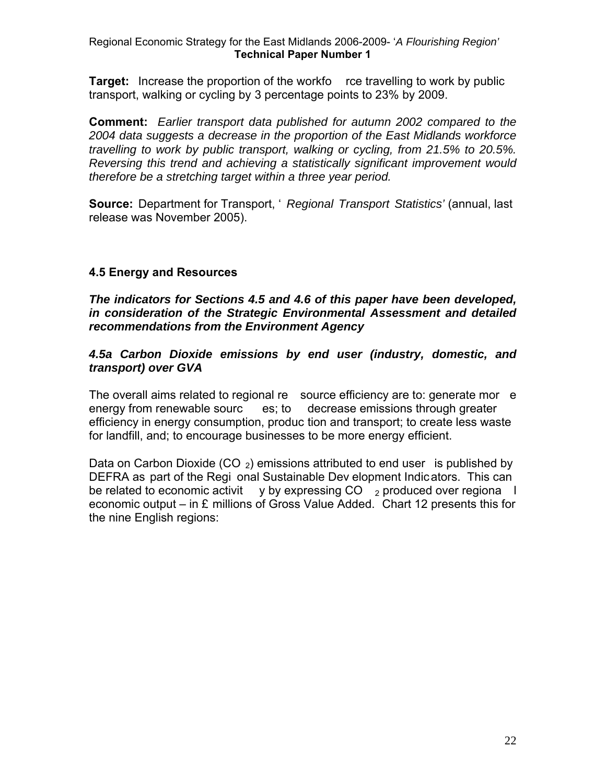**Target:** Increase the proportion of the workfo rce travelling to work by public transport, walking or cycling by 3 percentage points to 23% by 2009.

**Comment:** *Earlier transport data published for autumn 2002 compared to the 2004 data suggests a decrease in the proportion of the East Midlands workforce travelling to work by public transport, walking or cycling, from 21.5% to 20.5%. Reversing this trend and achieving a statistically significant improvement would therefore be a stretching target within a three year period.* 

**Source:** Department for Transport, ' *Regional Transport Statistics'* (annual, last release was November 2005).

#### **4.5 Energy and Resources**

*The indicators for Sections 4.5 and 4.6 of this paper have been developed, in consideration of the Strategic Environmental Assessment and detailed recommendations from the Environment Agency* 

*4.5a Carbon Dioxide emissions by end user (industry, domestic, and transport) over GVA* 

The overall aims related to regional re source efficiency are to: generate mor e energy from renewable sourc es; to decrease emissions through greater efficiency in energy consumption, produc tion and transport; to create less waste for landfill, and; to encourage businesses to be more energy efficient.

Data on Carbon Dioxide (CO  $_2$ ) emissions attributed to end user is published by DEFRA as part of the Regi onal Sustainable Dev elopment Indicators. This can be related to economic activit y by expressing  $CO \rightarrow$  produced over regiona l economic output – in £ millions of Gross Value Added. Chart 12 presents this for the nine English regions: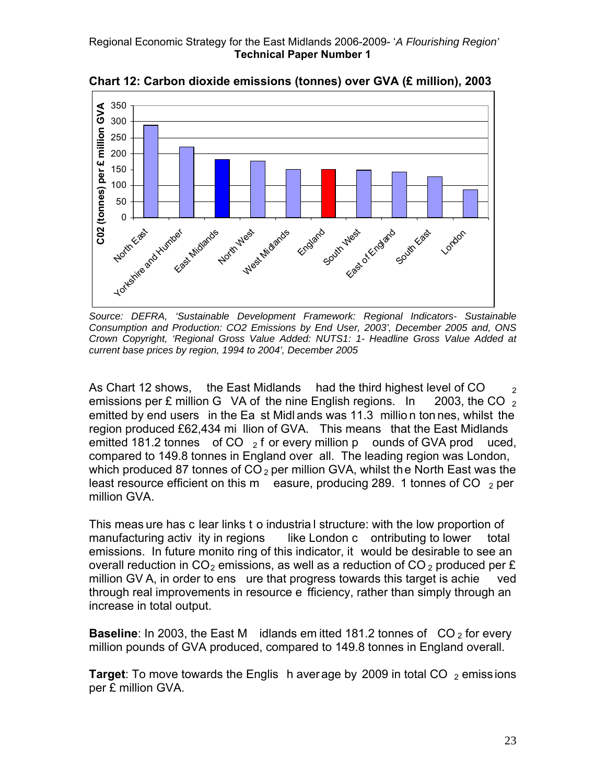

**Chart 12: Carbon dioxide emissions (tonnes) over GVA (£ million), 2003** 

*Source: DEFRA, 'Sustainable Development Framework: Regional Indicators- Sustainable Consumption and Production: CO2 Emissions by End User, 2003', December 2005 and, ONS Crown Copyright, 'Regional Gross Value Added: NUTS1: 1- Headline Gross Value Added at current base prices by region, 1994 to 2004', December 2005* 

As Chart 12 shows, the East Midlands had the third highest level of CO  $_2$  emissions per £ million G VA of the nine English regions. In 2003, the CO  $_2$ emissions per  $E$  million  $G$  VA of the nine English regions. In emitted by end users in the Ea st Midl ands was 11.3 millio n ton nes, whilst the region produced £62,434 mi llion of GVA. This means that the East Midlands emitted 181.2 tonnes of CO  $_2$  f or every million p ounds of GVA prod uced, compared to 149.8 tonnes in England over all. The leading region was London, which produced 87 tonnes of  $CO<sub>2</sub>$  per million GVA, whilst the North East was the least resource efficient on this m easure, producing 289. 1 tonnes of CO  $_2$  per million GVA.

This meas ure has c lear links t o industria l structure: with the low proportion of manufacturing activity in regions like London c ontributing to lower total emissions. In future monito ring of this indicator, it would be desirable to see an overall reduction in  $CO<sub>2</sub>$  emissions, as well as a reduction of  $CO<sub>2</sub>$  produced per £ million GV A, in order to ens ure that progress towards this target is achie ved through real improvements in resource e fficiency, rather than simply through an increase in total output.

**Baseline**: In 2003, the East M idlands em itted 181.2 tonnes of CO<sub>2</sub> for every million pounds of GVA produced, compared to 149.8 tonnes in England overall.

**Target:** To move towards the Englis h aver age by 2009 in total CO  $_2$  emissions per £ million GVA.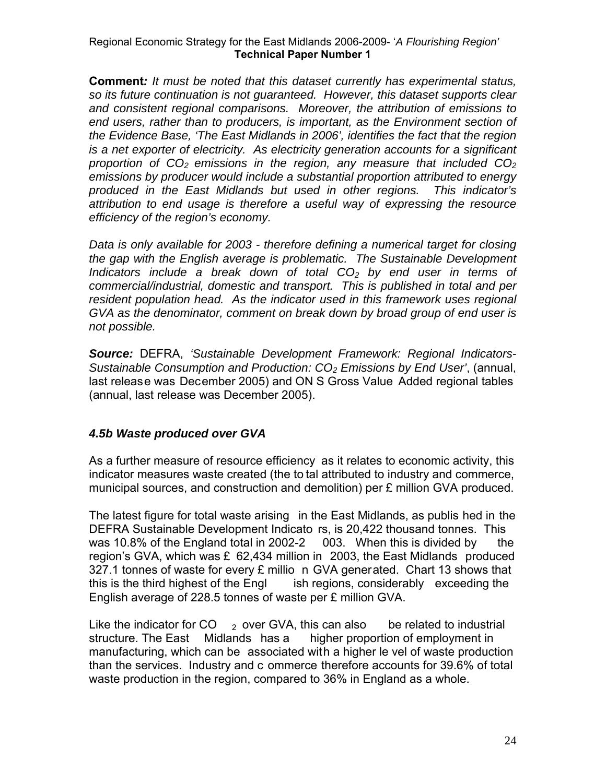**Comment***: It must be noted that this dataset currently has experimental status, so its future continuation is not guaranteed. However, this dataset supports clear and consistent regional comparisons. Moreover, the attribution of emissions to end users, rather than to producers, is important, as the Environment section of the Evidence Base, 'The East Midlands in 2006', identifies the fact that the region is a net exporter of electricity. As electricity generation accounts for a significant proportion of CO2 emissions in the region, any measure that included CO2 emissions by producer would include a substantial proportion attributed to energy produced in the East Midlands but used in other regions. This indicator's attribution to end usage is therefore a useful way of expressing the resource efficiency of the region's economy.* 

*Data is only available for 2003 - therefore defining a numerical target for closing the gap with the English average is problematic. The Sustainable Development Indicators include a break down of total CO2 by end user in terms of commercial/industrial, domestic and transport. This is published in total and per resident population head. As the indicator used in this framework uses regional GVA as the denominator, comment on break down by broad group of end user is not possible.* 

*Source:* DEFRA, *'Sustainable Development Framework: Regional Indicators-Sustainable Consumption and Production: CO2 Emissions by End User'*, (annual, last release was December 2005) and ON S Gross Value Added regional tables (annual, last release was December 2005).

# *4.5b Waste produced over GVA*

As a further measure of resource efficiency as it relates to economic activity, this indicator measures waste created (the to tal attributed to industry and commerce, municipal sources, and construction and demolition) per £ million GVA produced.

The latest figure for total waste arising in the East Midlands, as publis hed in the DEFRA Sustainable Development Indicato rs, is 20,422 thousand tonnes. This was 10.8% of the England total in 2002-2 003. When this is divided by the region's GVA, which was  $\epsilon$  62,434 million in 2003, the East Midlands produced 327.1 tonnes of waste for every £ millio n GVA generated. Chart 13 shows that this is the third highest of the Engl ish regions, considerably exceeding the English average of 228.5 tonnes of waste per £ million GVA.

Like the indicator for CO  $_2$  over GVA, this can also be related to industrial structure. The East Midlands has a higher proportion of employment in manufacturing, which can be associated with a higher le vel of waste production than the services. Industry and c ommerce therefore accounts for 39.6% of total waste production in the region, compared to 36% in England as a whole.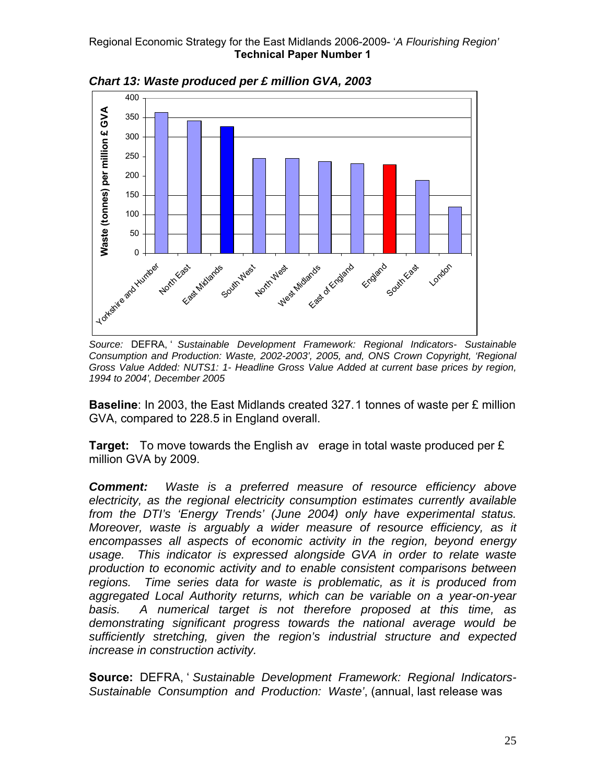

*Chart 13: Waste produced per £ million GVA, 2003* 

*Source:* DEFRA, ' *Sustainable Development Framework: Regional Indicators- Sustainable Consumption and Production: Waste, 2002-2003', 2005, and, ONS Crown Copyright, 'Regional Gross Value Added: NUTS1: 1- Headline Gross Value Added at current base prices by region, 1994 to 2004', December 2005* 

**Baseline**: In 2003, the East Midlands created 327.1 tonnes of waste per £ million GVA, compared to 228.5 in England overall.

**Target:**To move towards the English av erage in total waste produced per £ million GVA by 2009.

*Comment: Waste is a preferred measure of resource efficiency above electricity, as the regional electricity consumption estimates currently available from the DTI's 'Energy Trends' (June 2004) only have experimental status. Moreover, waste is arguably a wider measure of resource efficiency, as it encompasses all aspects of economic activity in the region, beyond energy usage. This indicator is expressed alongside GVA in order to relate waste production to economic activity and to enable consistent comparisons between regions. Time series data for waste is problematic, as it is produced from aggregated Local Authority returns, which can be variable on a year-on-year basis. A numerical target is not therefore proposed at this time, as demonstrating significant progress towards the national average would be sufficiently stretching, given the region's industrial structure and expected increase in construction activity.* 

**Source:** DEFRA, ' *Sustainable Development Framework: Regional Indicators-Sustainable Consumption and Production: Waste'*, (annual, last release was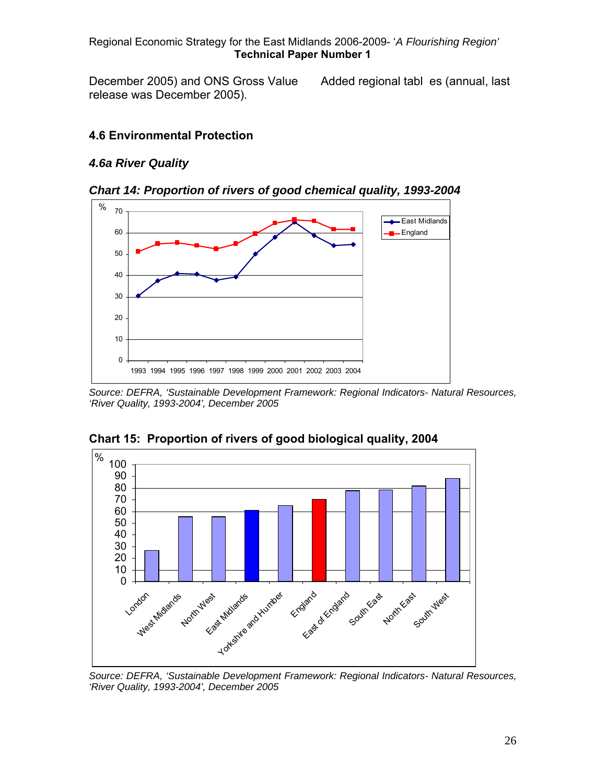December 2005) and ONS Gross Value Added regional tables (annual, last release was December 2005).

#### **4.6 Environmental Protection**

#### *4.6a River Quality*





*Source: DEFRA, 'Sustainable Development Framework: Regional Indicators- Natural Resources, 'River Quality, 1993-2004', December 2005* 



**Chart 15: Proportion of rivers of good biological quality, 2004** 

*Source: DEFRA, 'Sustainable Development Framework: Regional Indicators- Natural Resources, 'River Quality, 1993-2004', December 2005*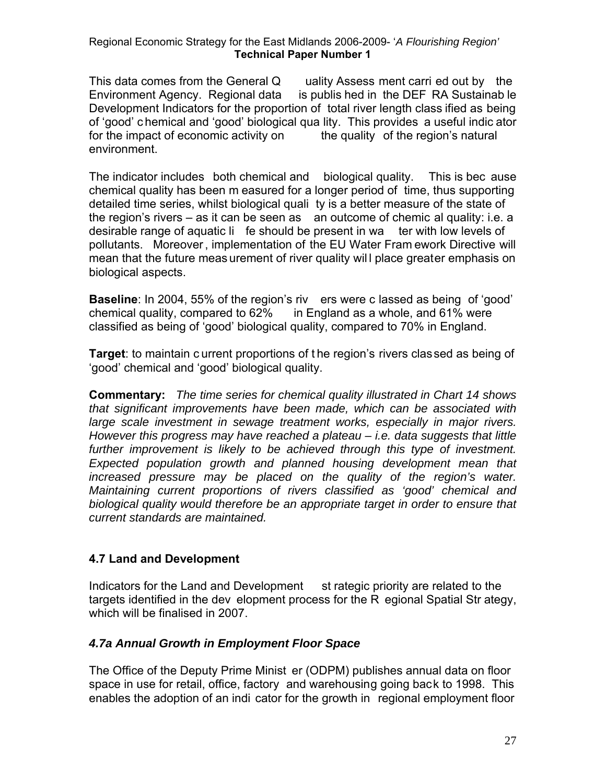This data comes from the General Q uality Assess ment carri ed out by the Environment Agency. Regional data is publis hed in the DEF RA Sustainab le Development Indicators for the proportion of total river length class ified as being of 'good' c hemical and 'good' biological qua lity. This provides a useful indic ator for the impact of economic activity on the quality of the region's natural environment.

The indicator includes both chemical and biological quality. This is bec ause chemical quality has been m easured for a longer period of time, thus supporting detailed time series, whilst biological quali ty is a better measure of the state of the region's rivers  $-$  as it can be seen as an outcome of chemic al quality: i.e. a desirable range of aquatic li fe should be present in wa ter with low levels of pollutants. Moreover , implementation of the EU Water Fram ework Directive will mean that the future meas urement of river quality wil l place greater emphasis on biological aspects.

**Baseline**: In 2004, 55% of the region's riv ers were c lassed as being of 'good' chemical quality, compared to 62% in England as a whole, and 61% were classified as being of 'good' biological quality, compared to 70% in England.

**Target**: to maintain c urrent proportions of t he region's rivers classed as being of 'good' chemical and 'good' biological quality.

**Commentary:** *The time series for chemical quality illustrated in Chart 14 shows that significant improvements have been made, which can be associated with large scale investment in sewage treatment works, especially in major rivers. However this progress may have reached a plateau – i.e. data suggests that little*  further improvement is likely to be achieved through this type of investment. *Expected population growth and planned housing development mean that increased pressure may be placed on the quality of the region's water. Maintaining current proportions of rivers classified as 'good' chemical and biological quality would therefore be an appropriate target in order to ensure that current standards are maintained.* 

# **4.7 Land and Development**

Indicators for the Land and Development st rategic priority are related to the targets identified in the dev elopment process for the R egional Spatial Str ategy, which will be finalised in 2007.

#### *4.7a Annual Growth in Employment Floor Space*

The Office of the Deputy Prime Minist er (ODPM) publishes annual data on floor space in use for retail, office, factory and warehousing going back to 1998. This enables the adoption of an indi cator for the growth in regional employment floor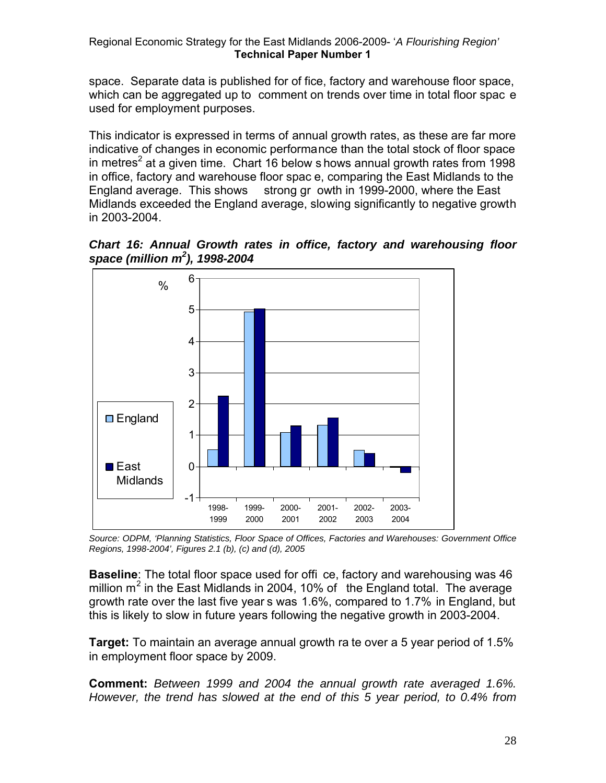space. Separate data is published for of fice, factory and warehouse floor space, which can be aggregated up to comment on trends over time in total floor spac e used for employment purposes.

This indicator is expressed in terms of annual growth rates, as these are far more indicative of changes in economic performance than the total stock of floor space in metres<sup>2</sup> at a given time. Chart 16 below s hows annual growth rates from 1998 in office, factory and warehouse floor spac e, comparing the East Midlands to the England average. This shows strong gr owth in 1999-2000, where the East Midlands exceeded the England average, slowing significantly to negative growth in 2003-2004.





*Source: ODPM, 'Planning Statistics, Floor Space of Offices, Factories and Warehouses: Government Office Regions, 1998-2004', Figures 2.1 (b), (c) and (d), 2005*

**Baseline**: The total floor space used for offi ce, factory and warehousing was 46 million m<sup>2</sup> in the East Midlands in 2004, 10% of the England total. The average growth rate over the last five year s was 1.6%, compared to 1.7% in England, but this is likely to slow in future years following the negative growth in 2003-2004.

**Target:** To maintain an average annual growth ra te over a 5 year period of 1.5% in employment floor space by 2009.

**Comment:** *Between 1999 and 2004 the annual growth rate averaged 1.6%. However, the trend has slowed at the end of this 5 year period, to 0.4% from*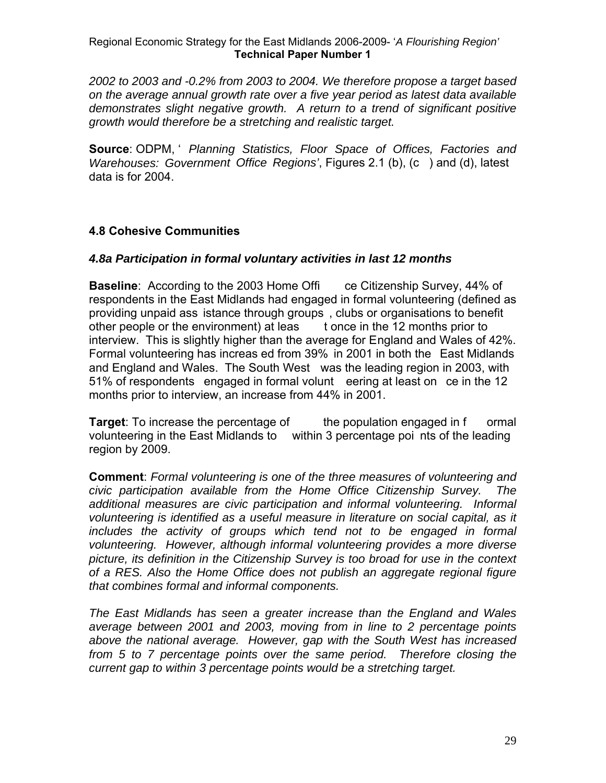*2002 to 2003 and -0.2% from 2003 to 2004. We therefore propose a target based on the average annual growth rate over a five year period as latest data available demonstrates slight negative growth. A return to a trend of significant positive growth would therefore be a stretching and realistic target.* 

**Source**: ODPM, ' *Planning Statistics, Floor Space of Offices, Factories and Warehouses: Government Office Regions'*, Figures 2.1 (b), (c ) and (d), latest data is for 2004.

# **4.8 Cohesive Communities**

#### *4.8a Participation in formal voluntary activities in last 12 months*

**Baseline:** According to the 2003 Home Offi ce Citizenship Survey, 44% of respondents in the East Midlands had engaged in formal volunteering (defined as providing unpaid ass istance through groups , clubs or organisations to benefit other people or the environment) at leas t once in the 12 months prior to interview. This is slightly higher than the average for England and Wales of 42%. Formal volunteering has increas ed from 39% in 2001 in both the East Midlands and England and Wales. The South West was the leading region in 2003, with 51% of respondents engaged in formal volunt eering at least on ce in the 12 months prior to interview, an increase from 44% in 2001.

**Target:** To increase the percentage of the population engaged in f ormal volunteering in the East Midlands to within 3 percentage poi nts of the leading region by 2009.

**Comment**: *Formal volunteering is one of the three measures of volunteering and civic participation available from the Home Office Citizenship Survey. The additional measures are civic participation and informal volunteering. Informal volunteering is identified as a useful measure in literature on social capital, as it includes the activity of groups which tend not to be engaged in formal volunteering. However, although informal volunteering provides a more diverse picture, its definition in the Citizenship Survey is too broad for use in the context of a RES. Also the Home Office does not publish an aggregate regional figure that combines formal and informal components.* 

*The East Midlands has seen a greater increase than the England and Wales average between 2001 and 2003, moving from in line to 2 percentage points above the national average. However, gap with the South West has increased from 5 to 7 percentage points over the same period. Therefore closing the current gap to within 3 percentage points would be a stretching target.*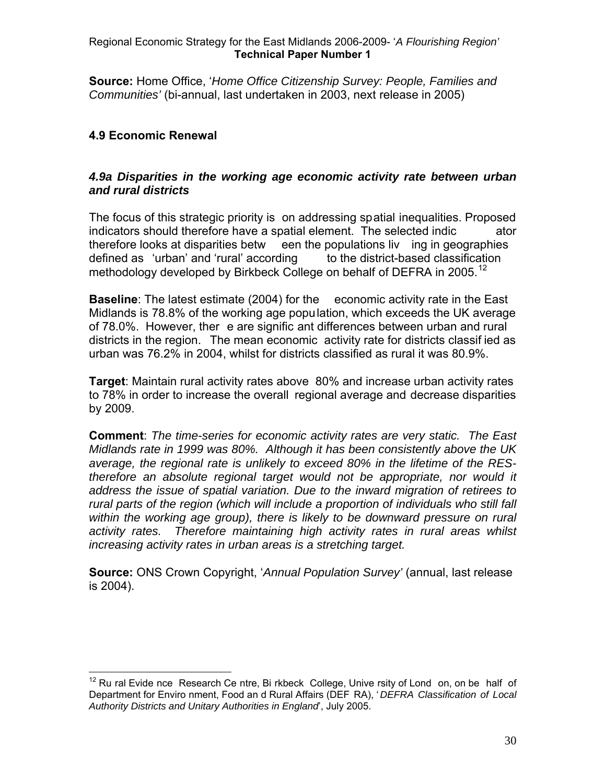**Source:** Home Office, '*Home Office Citizenship Survey: People, Families and Communities'* (bi-annual, last undertaken in 2003, next release in 2005)

# **4.9 Economic Renewal**

#### *4.9a Disparities in the working age economic activity rate between urban and rural districts*

The focus of this strategic priority is on addressing spatial inequalities. Proposed indicators should therefore have a spatial element. The selected indic ator therefore looks at disparities betw een the populations liv ing in geographies defined as 'urban' and 'rural' according to the district-based classification methodology developed by Birkbeck College on behalf of DEFRA in 2005.<sup>[12](#page-30-0)</sup>

**Baseline**: The latest estimate (2004) for the economic activity rate in the East Midlands is 78.8% of the working age population, which exceeds the UK average of 78.0%. However, ther e are signific ant differences between urban and rural districts in the region. The mean economic activity rate for districts classif ied as urban was 76.2% in 2004, whilst for districts classified as rural it was 80.9%.

**Target**: Maintain rural activity rates above 80% and increase urban activity rates to 78% in order to increase the overall regional average and decrease disparities by 2009.

**Comment**: *The time-series for economic activity rates are very static. The East Midlands rate in 1999 was 80%. Although it has been consistently above the UK average, the regional rate is unlikely to exceed 80% in the lifetime of the REStherefore an absolute regional target would not be appropriate, nor would it address the issue of spatial variation. Due to the inward migration of retirees to rural parts of the region (which will include a proportion of individuals who still fall within the working age group), there is likely to be downward pressure on rural activity rates. Therefore maintaining high activity rates in rural areas whilst increasing activity rates in urban areas is a stretching target.* 

**Source:** ONS Crown Copyright, '*Annual Population Survey'* (annual, last release is 2004).

<span id="page-30-0"></span> $\overline{a}$  $12$  Ru ral Evide nce Research Ce ntre, Bi rkbeck College, Unive rsity of Lond on, on be half of Department for Enviro nment, Food an d Rural Affairs (DEF RA), ' *DEFRA Classification of Local Authority Districts and Unitary Authorities in England*', July 2005.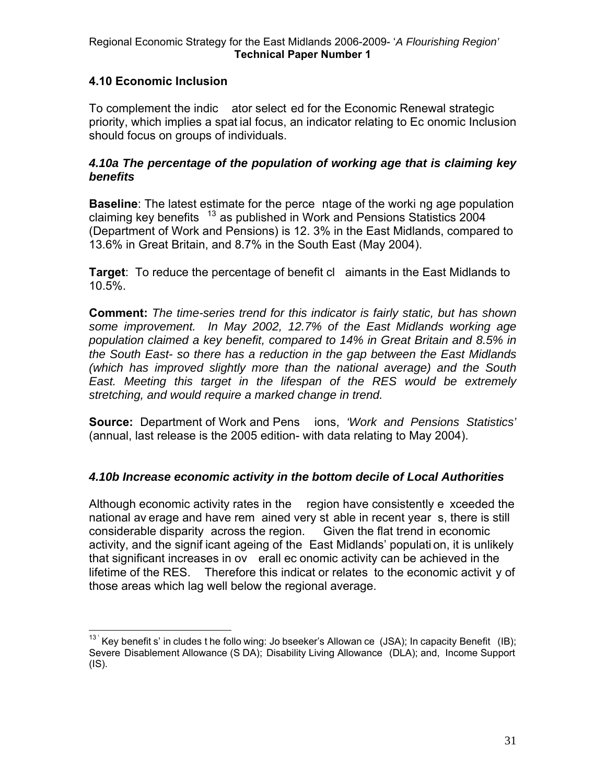# **4.10 Economic Inclusion**

To complement the indic ator select ed for the Economic Renewal strategic priority, which implies a spat ial focus, an indicator relating to Ec onomic Inclusion should focus on groups of individuals.

#### *4.10a The percentage of the population of working age that is claiming key benefits*

**Baseline**: The latest estimate for the perce ntage of the worki ng age population claiming key benefits  $13$  as published in Work and Pensions Statistics 2004 (Department of Work and Pensions) is 12. 3% in the East Midlands, compared to 13.6% in Great Britain, and 8.7% in the South East (May 2004).

**Target**: To reduce the percentage of benefit cl aimants in the East Midlands to 10.5%.

**Comment:** *The time-series trend for this indicator is fairly static, but has shown some improvement. In May 2002, 12.7% of the East Midlands working age population claimed a key benefit, compared to 14% in Great Britain and 8.5% in the South East- so there has a reduction in the gap between the East Midlands (which has improved slightly more than the national average) and the South East. Meeting this target in the lifespan of the RES would be extremely stretching, and would require a marked change in trend.* 

**Source:** Department of Work and Pens ions, *'Work and Pensions Statistics'*  (annual, last release is the 2005 edition- with data relating to May 2004).

# *4.10b Increase economic activity in the bottom decile of Local Authorities*

Although economic activity rates in the region have consistently e xceeded the national av erage and have rem ained very st able in recent year s, there is still considerable disparity across the region. Given the flat trend in economic activity, and the signif icant ageing of the East Midlands' populati on, it is unlikely that significant increases in ov erall ec onomic activity can be achieved in the lifetime of the RES. Therefore this indicat or relates to the economic activit y of those areas which lag well below the regional average.

<span id="page-31-0"></span> $\overline{a}$  $13'$  Key benefit s' in cludes t he follo wing: Jo bseeker's Allowan ce (JSA); In capacity Benefit (IB); Severe Disablement Allowance (S DA); Disability Living Allowance (DLA); and, Income Support (IS).